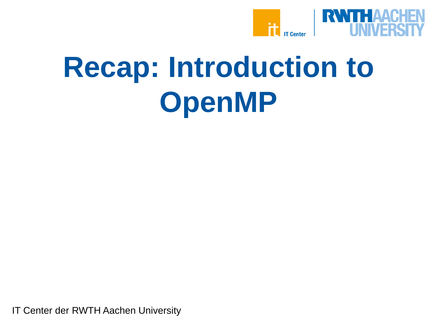

# **Recap: Introduction to OpenMP**

IT Center der RWTH Aachen University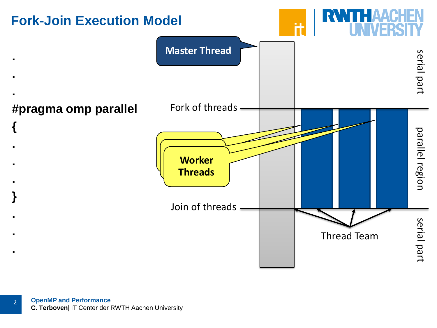

2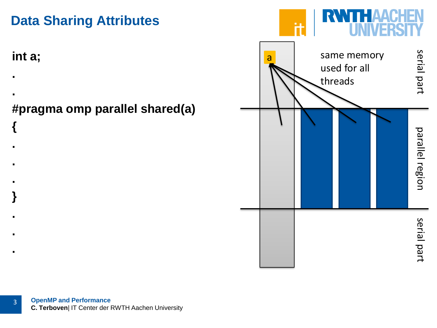

## **Data Sharing Attributes**

**int a;**

**{**

**.**

**..**

**}**

**...**

#### **..#pragma omp parallel shared(a)**

**OpenMP and Performance C. Terboven**| IT Center der RWTH Aachen University 3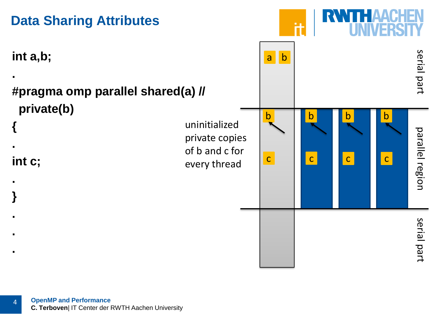

4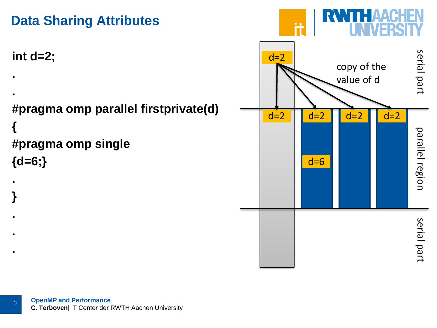



5

**.**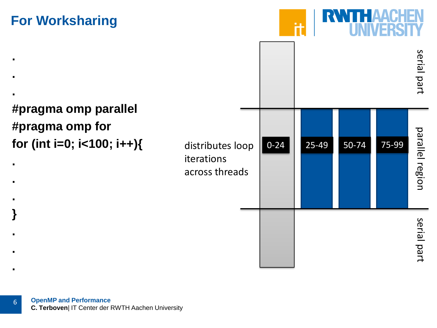## **For Worksharing**

**.**

**.**

**.**

**.**

**.**

**.**

**}**

**.**

**.**

**.**



**#pragma omp parallel #pragma omp for for (int i=0; i<100; i++){**

|                                                  |          |       |       |       | serial part     |
|--------------------------------------------------|----------|-------|-------|-------|-----------------|
| distributes loop<br>iterations<br>across threads | $0 - 24$ | 25-49 | 50-74 | 75-99 | parallel region |
|                                                  |          |       |       |       | serial part     |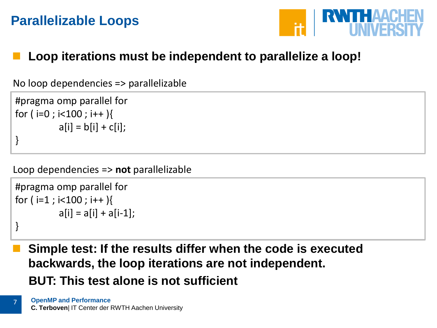## **Parallelizable Loops**



#### **Loop iterations must be independent to parallelize a loop!**

No loop dependencies => parallelizable

```
#pragma omp parallel for
for (i=0; i<100; i++){
          a[i] = b[i] + c[i];}
```
Loop dependencies => **not** parallelizable

```
#pragma omp parallel for
for (i=1 ; i<100 ; i++)a[i] = a[i] + a[i-1];
}
```
7

 **Simple test: If the results differ when the code is executed backwards, the loop iterations are not independent. BUT: This test alone is not sufficient**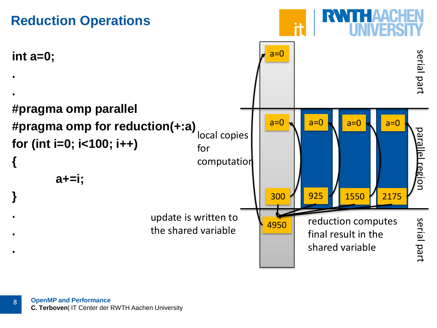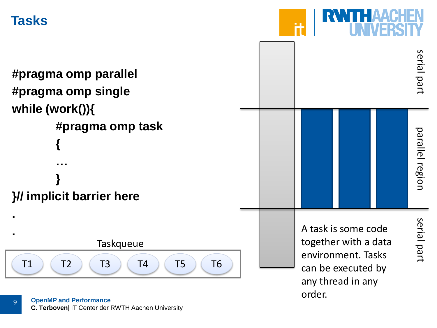## **Tasks**

**#pragma omp parallel #pragma omp single while (work()){ #pragma omp task {…} }// implicit barrier here ..**

T1 ) ( T2 ) ( T3 ) ( T4 ) ( T5 ) ( T6 Taskqueue

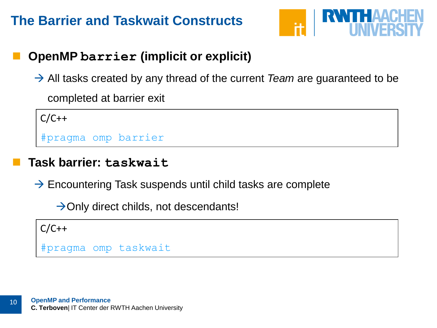

#### **OpenMP barrier (implicit or explicit)**

→ All tasks created by any thread of the current *Team* are guaranteed to be completed at barrier exit

 $C/C++$ 

#pragma omp barrier

#### **Task barrier: taskwait**

 $\rightarrow$  Encountering Task suspends until child tasks are complete

 $\rightarrow$  Only direct childs, not descendants!

 $C/C++$ 

10

#pragma omp taskwait